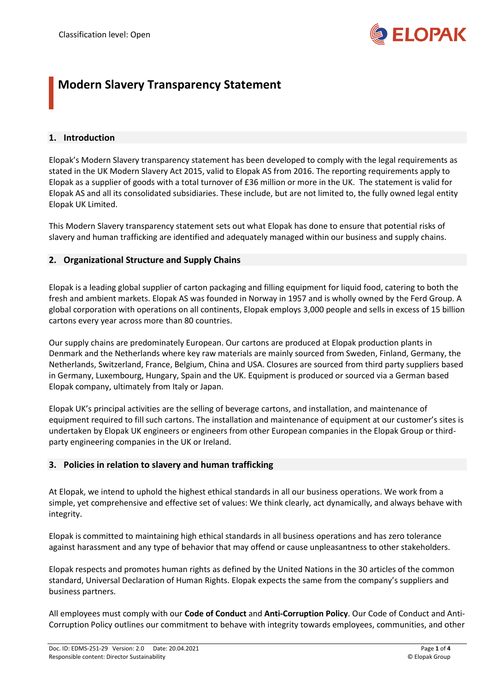

# **Modern Slavery Transparency Statement**

## **1. Introduction**

Elopak's Modern Slavery transparency statement has been developed to comply with the legal requirements as stated in the UK Modern Slavery Act 2015, valid to Elopak AS from 2016. The reporting requirements apply to Elopak as a supplier of goods with a total turnover of £36 million or more in the UK. The statement is valid for Elopak AS and all its consolidated subsidiaries. These include, but are not limited to, the fully owned legal entity Elopak UK Limited.

This Modern Slavery transparency statement sets out what Elopak has done to ensure that potential risks of slavery and human trafficking are identified and adequately managed within our business and supply chains.

## **2. Organizational Structure and Supply Chains**

Elopak is a leading global supplier of carton packaging and filling equipment for liquid food, catering to both the fresh and ambient markets. Elopak AS was founded in Norway in 1957 and is wholly owned by the Ferd Group. A global corporation with operations on all continents, Elopak employs 3,000 people and sells in excess of 15 billion cartons every year across more than 80 countries.

Our supply chains are predominately European. Our cartons are produced at Elopak production plants in Denmark and the Netherlands where key raw materials are mainly sourced from Sweden, Finland, Germany, the Netherlands, Switzerland, France, Belgium, China and USA. Closures are sourced from third party suppliers based in Germany, Luxembourg, Hungary, Spain and the UK. Equipment is produced or sourced via a German based Elopak company, ultimately from Italy or Japan.

Elopak UK's principal activities are the selling of beverage cartons, and installation, and maintenance of equipment required to fill such cartons. The installation and maintenance of equipment at our customer's sites is undertaken by Elopak UK engineers or engineers from other European companies in the Elopak Group or thirdparty engineering companies in the UK or Ireland.

## **3. Policies in relation to slavery and human trafficking**

At Elopak, we intend to uphold the highest ethical standards in all our business operations. We work from a simple, yet comprehensive and effective set of values: We think clearly, act dynamically, and always behave with integrity.

Elopak is committed to maintaining high ethical standards in all business operations and has zero tolerance against harassment and any type of behavior that may offend or cause unpleasantness to other stakeholders.

Elopak respects and promotes human rights as defined by the United Nations in the 30 articles of the common standard, Universal Declaration of Human Rights. Elopak expects the same from the company's suppliers and business partners.

All employees must comply with our **Code of Conduct** and **Anti-Corruption Policy**. Our Code of Conduct and Anti-Corruption Policy outlines our commitment to behave with integrity towards employees, communities, and other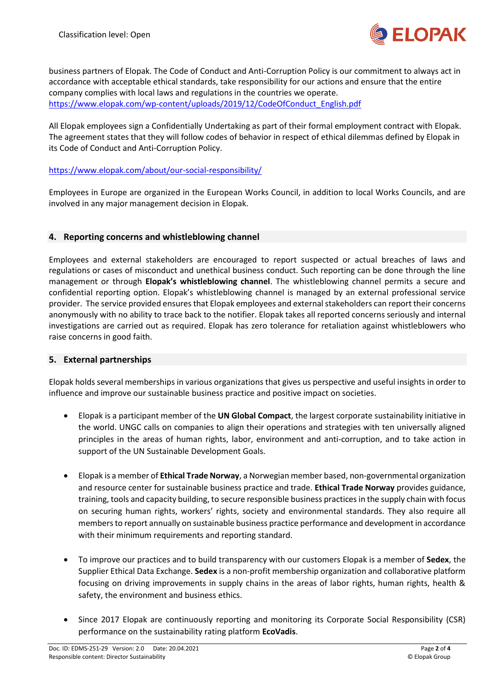

business partners of Elopak. The Code of Conduct and Anti-Corruption Policy is our commitment to always act in accordance with acceptable ethical standards, take responsibility for our actions and ensure that the entire company complies with local laws and regulations in the countries we operate. [https://www.elopak.com/wp-content/uploads/2019/12/CodeOfConduct\\_English.pdf](https://www.elopak.com/wp-content/uploads/2019/12/CodeOfConduct_English.pdf)

All Elopak employees sign a Confidentially Undertaking as part of their formal employment contract with Elopak. The agreement states that they will follow codes of behavior in respect of ethical dilemmas defined by Elopak in its Code of Conduct and Anti-Corruption Policy.

#### <https://www.elopak.com/about/our-social-responsibility/>

Employees in Europe are organized in the European Works Council, in addition to local Works Councils, and are involved in any major management decision in Elopak.

## **4. Reporting concerns and whistleblowing channel**

Employees and external stakeholders are encouraged to report suspected or actual breaches of laws and regulations or cases of misconduct and unethical business conduct. Such reporting can be done through the line management or through **Elopak's whistleblowing channel**. The whistleblowing channel permits a secure and confidential reporting option. Elopak's whistleblowing channel is managed by an external professional service provider. The service provided ensures that Elopak employees and external stakeholders can report their concerns anonymously with no ability to trace back to the notifier. Elopak takes all reported concerns seriously and internal investigations are carried out as required. Elopak has zero tolerance for retaliation against whistleblowers who raise concerns in good faith.

#### **5. External partnerships**

Elopak holds several memberships in various organizations that gives us perspective and useful insights in order to influence and improve our sustainable business practice and positive impact on societies.

- Elopak is a participant member of the **UN Global Compact**, the largest corporate sustainability initiative in the world. UNGC calls on companies to align their operations and strategies with ten universally aligned principles in the areas of human rights, labor, environment and anti-corruption, and to take action in support of the UN Sustainable Development Goals.
- Elopak is a member of **Ethical Trade Norway**, a Norwegian member based, non-governmental organization and resource center for sustainable business practice and trade. **Ethical Trade Norway** provides guidance, training, tools and capacity building, to secure responsible business practices in the supply chain with focus on securing human rights, workers' rights, society and environmental standards. They also require all members to report annually on sustainable business practice performance and development in accordance with their minimum requirements and reporting standard.
- To improve our practices and to build transparency with our customers Elopak is a member of **Sedex**, the Supplier Ethical Data Exchange. **Sedex** is a non-profit membership organization and collaborative platform focusing on driving improvements in supply chains in the areas of labor rights, human rights, health & safety, the environment and business ethics.
- Since 2017 Elopak are continuously reporting and monitoring its Corporate Social Responsibility (CSR) performance on the sustainability rating platform **EcoVadis**.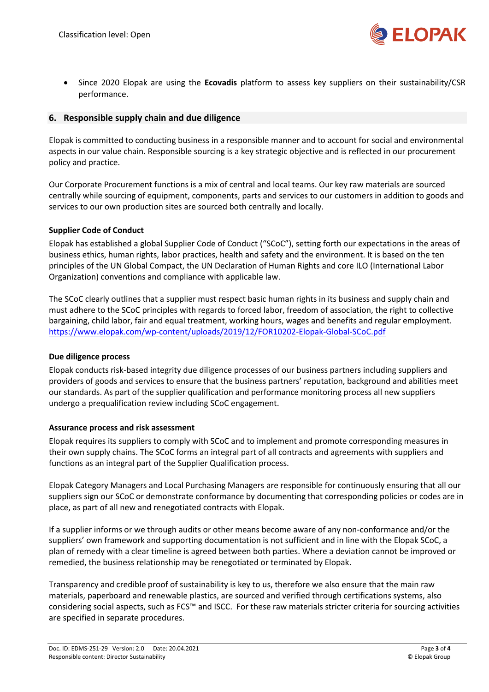

• Since 2020 Elopak are using the **Ecovadis** platform to assess key suppliers on their sustainability/CSR performance.

## **6. Responsible supply chain and due diligence**

Elopak is committed to conducting business in a responsible manner and to account for social and environmental aspects in our value chain. Responsible sourcing is a key strategic objective and is reflected in our procurement policy and practice.

Our Corporate Procurement functions is a mix of central and local teams. Our key raw materials are sourced centrally while sourcing of equipment, components, parts and services to our customers in addition to goods and services to our own production sites are sourced both centrally and locally.

## **Supplier Code of Conduct**

Elopak has established a global Supplier Code of Conduct ("SCoC"), setting forth our expectations in the areas of business ethics, human rights, labor practices, health and safety and the environment. It is based on the ten principles of the UN Global Compact, the UN Declaration of Human Rights and core ILO (International Labor Organization) conventions and compliance with applicable law.

The SCoC clearly outlines that a supplier must respect basic human rights in its business and supply chain and must adhere to the SCoC principles with regards to forced labor, freedom of association, the right to collective bargaining, child labor, fair and equal treatment, working hours, wages and benefits and regular employment. <https://www.elopak.com/wp-content/uploads/2019/12/FOR10202-Elopak-Global-SCoC.pdf>

#### **Due diligence process**

Elopak conducts risk-based integrity due diligence processes of our business partners including suppliers and providers of goods and services to ensure that the business partners' reputation, background and abilities meet our standards. As part of the supplier qualification and performance monitoring process all new suppliers undergo a prequalification review including SCoC engagement.

#### **Assurance process and risk assessment**

Elopak requires its suppliers to comply with SCoC and to implement and promote corresponding measures in their own supply chains. The SCoC forms an integral part of all contracts and agreements with suppliers and functions as an integral part of the Supplier Qualification process.

Elopak Category Managers and Local Purchasing Managers are responsible for continuously ensuring that all our suppliers sign our SCoC or demonstrate conformance by documenting that corresponding policies or codes are in place, as part of all new and renegotiated contracts with Elopak.

If a supplier informs or we through audits or other means become aware of any non-conformance and/or the suppliers' own framework and supporting documentation is not sufficient and in line with the Elopak SCoC, a plan of remedy with a clear timeline is agreed between both parties. Where a deviation cannot be improved or remedied, the business relationship may be renegotiated or terminated by Elopak.

Transparency and credible proof of sustainability is key to us, therefore we also ensure that the main raw materials, paperboard and renewable plastics, are sourced and verified through certifications systems, also considering social aspects, such as FCS™ and ISCC. For these raw materials stricter criteria for sourcing activities are specified in separate procedures.